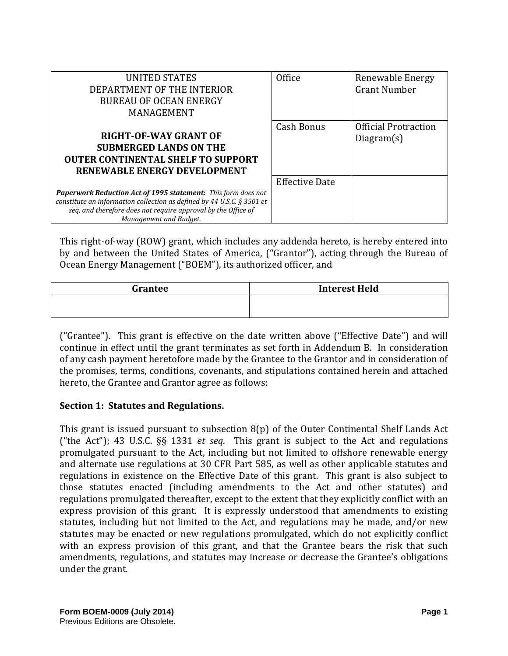| UNITED STATES<br>DEPARTMENT OF THE INTERIOR<br><b>BUREAU OF OCEAN ENERGY</b><br>MANAGEMENT                                                                                                                                                   | Office                | Renewable Energy<br><b>Grant Number</b>   |
|----------------------------------------------------------------------------------------------------------------------------------------------------------------------------------------------------------------------------------------------|-----------------------|-------------------------------------------|
| <b>RIGHT-OF-WAY GRANT OF</b><br><b>SUBMERGED LANDS ON THE</b><br><b>OUTER CONTINENTAL SHELF TO SUPPORT</b><br>RENEWABLE ENERGY DEVELOPMENT                                                                                                   | <b>Cash Bonus</b>     | <b>Official Protraction</b><br>Diagram(s) |
| <b>Paperwork Reduction Act of 1995 statement:</b> This form does not<br>constitute an information collection as defined by 44 U.S.C. $\S 3501$ et<br>seq, and therefore does not require approval by the Office of<br>Management and Budget. | <b>Effective Date</b> |                                           |

This right-of-way (ROW) grant, which includes any addenda hereto, is hereby entered into by and between the United States of America, ("Grantor"), acting through the Bureau of Ocean Energy Management ("BOEM"), its authorized officer, and

| Grantee | <b>Interest Held</b> |  |
|---------|----------------------|--|
|         |                      |  |
|         |                      |  |

("Grantee"). This grant is effective on the date written above ("Effective Date") and will continue in effect until the grant terminates as set forth in Addendum B. In consideration of any cash payment heretofore made by the Grantee to the Grantor and in consideration of the promises, terms, conditions, covenants, and stipulations contained herein and attached hereto, the Grantee and Grantor agree as follows:

## **Section 1: Statutes and Regulations.**

This grant is issued pursuant to subsection 8(p) of the Outer Continental Shelf Lands Act ("the Act"); 43 U.S.C. §§ 1331 *et seq*. This grant is subject to the Act and regulations promulgated pursuant to the Act, including but not limited to offshore renewable energy and alternate use regulations at 30 CFR Part 585, as well as other applicable statutes and regulations in existence on the Effective Date of this grant. This grant is also subject to those statutes enacted (including amendments to the Act and other statutes) and regulations promulgated thereafter, except to the extent that they explicitly conflict with an express provision of this grant. It is expressly understood that amendments to existing statutes, including but not limited to the Act, and regulations may be made, and/or new statutes may be enacted or new regulations promulgated, which do not explicitly conflict with an express provision of this grant, and that the Grantee bears the risk that such amendments, regulations, and statutes may increase or decrease the Grantee's obligations under the grant.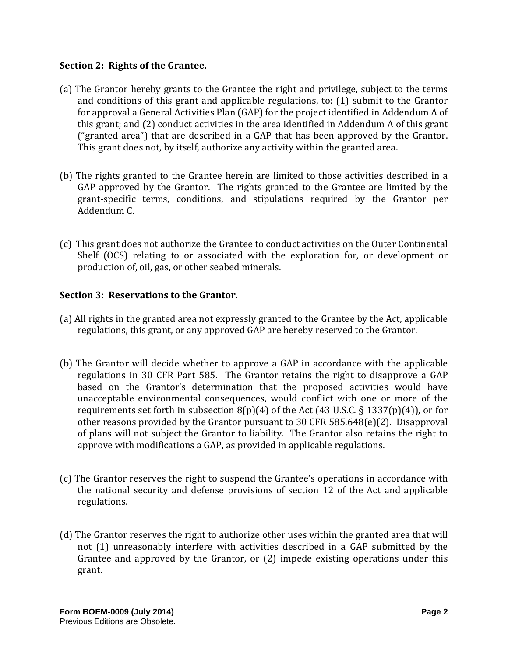#### **Section 2: Rights of the Grantee.**

- (a) The Grantor hereby grants to the Grantee the right and privilege, subject to the terms and conditions of this grant and applicable regulations, to: (1) submit to the Grantor for approval a General Activities Plan (GAP) for the project identified in Addendum A of this grant; and (2) conduct activities in the area identified in Addendum A of this grant ("granted area") that are described in a GAP that has been approved by the Grantor. This grant does not, by itself, authorize any activity within the granted area.
- (b) The rights granted to the Grantee herein are limited to those activities described in a GAP approved by the Grantor. The rights granted to the Grantee are limited by the grant-specific terms, conditions, and stipulations required by the Grantor per Addendum C.
- (c) This grant does not authorize the Grantee to conduct activities on the Outer Continental Shelf (OCS) relating to or associated with the exploration for, or development or production of, oil, gas, or other seabed minerals.

## **Section 3: Reservations to the Grantor.**

- (a) All rights in the granted area not expressly granted to the Grantee by the Act, applicable regulations, this grant, or any approved GAP are hereby reserved to the Grantor.
- (b) The Grantor will decide whether to approve a GAP in accordance with the applicable regulations in 30 CFR Part 585. The Grantor retains the right to disapprove a GAP based on the Grantor's determination that the proposed activities would have unacceptable environmental consequences, would conflict with one or more of the requirements set forth in subsection  $8(p)(4)$  of the Act (43 U.S.C. § 1337(p)(4)), or for other reasons provided by the Grantor pursuant to 30 CFR 585.648(e)(2). Disapproval of plans will not subject the Grantor to liability. The Grantor also retains the right to approve with modifications a GAP, as provided in applicable regulations.
- (c) The Grantor reserves the right to suspend the Grantee's operations in accordance with the national security and defense provisions of section 12 of the Act and applicable regulations.
- (d) The Grantor reserves the right to authorize other uses within the granted area that will not (1) unreasonably interfere with activities described in a GAP submitted by the Grantee and approved by the Grantor, or (2) impede existing operations under this grant.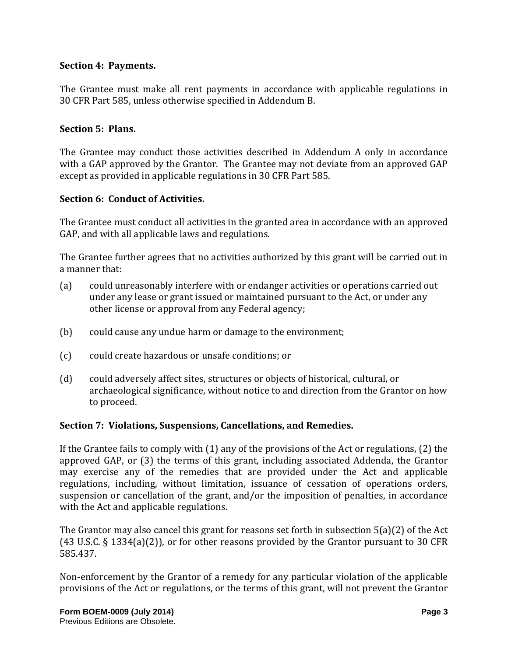#### **Section 4: Payments.**

The Grantee must make all rent payments in accordance with applicable regulations in 30 CFR Part 585, unless otherwise specified in Addendum B.

#### **Section 5: Plans.**

The Grantee may conduct those activities described in Addendum A only in accordance with a GAP approved by the Grantor. The Grantee may not deviate from an approved GAP except as provided in applicable regulations in 30 CFR Part 585.

#### **Section 6: Conduct of Activities.**

The Grantee must conduct all activities in the granted area in accordance with an approved GAP, and with all applicable laws and regulations.

The Grantee further agrees that no activities authorized by this grant will be carried out in a manner that:

- (a) could unreasonably interfere with or endanger activities or operations carried out under any lease or grant issued or maintained pursuant to the Act, or under any other license or approval from any Federal agency;
- (b) could cause any undue harm or damage to the environment;
- (c) could create hazardous or unsafe conditions; or
- (d) could adversely affect sites, structures or objects of historical, cultural, or archaeological significance, without notice to and direction from the Grantor on how to proceed.

#### **Section 7: Violations, Suspensions, Cancellations, and Remedies.**

If the Grantee fails to comply with (1) any of the provisions of the Act or regulations, (2) the approved GAP, or (3) the terms of this grant, including associated Addenda, the Grantor may exercise any of the remedies that are provided under the Act and applicable regulations, including, without limitation, issuance of cessation of operations orders, suspension or cancellation of the grant, and/or the imposition of penalties, in accordance with the Act and applicable regulations.

The Grantor may also cancel this grant for reasons set forth in subsection 5(a)(2) of the Act (43 U.S.C. § 1334(a)(2)), or for other reasons provided by the Grantor pursuant to 30 CFR 585.437.

Non-enforcement by the Grantor of a remedy for any particular violation of the applicable provisions of the Act or regulations, or the terms of this grant, will not prevent the Grantor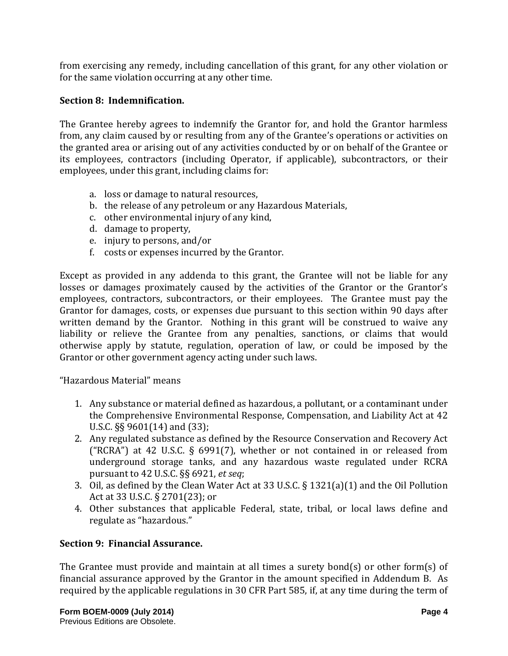from exercising any remedy, including cancellation of this grant, for any other violation or for the same violation occurring at any other time.

#### **Section 8: Indemnification.**

The Grantee hereby agrees to indemnify the Grantor for, and hold the Grantor harmless from, any claim caused by or resulting from any of the Grantee's operations or activities on the granted area or arising out of any activities conducted by or on behalf of the Grantee or its employees, contractors (including Operator, if applicable), subcontractors, or their employees, under this grant, including claims for:

- a. loss or damage to natural resources,
- b. the release of any petroleum or any Hazardous Materials,
- c. other environmental injury of any kind,
- d. damage to property,
- e. injury to persons, and/or
- f. costs or expenses incurred by the Grantor.

Except as provided in any addenda to this grant, the Grantee will not be liable for any losses or damages proximately caused by the activities of the Grantor or the Grantor's employees, contractors, subcontractors, or their employees. The Grantee must pay the Grantor for damages, costs, or expenses due pursuant to this section within 90 days after written demand by the Grantor. Nothing in this grant will be construed to waive any liability or relieve the Grantee from any penalties, sanctions, or claims that would otherwise apply by statute, regulation, operation of law, or could be imposed by the Grantor or other government agency acting under such laws.

"Hazardous Material" means

- 1. Any substance or material defined as hazardous, a pollutant, or a contaminant under the Comprehensive Environmental Response, Compensation, and Liability Act at 42 U.S.C. §§ 9601(14) and (33);
- 2. Any regulated substance as defined by the Resource Conservation and Recovery Act ("RCRA") at 42 U.S.C. § 6991(7), whether or not contained in or released from underground storage tanks, and any hazardous waste regulated under RCRA pursuant to 42 U.S.C. §§ 6921, *et seq*;
- 3. Oil, as defined by the Clean Water Act at 33 U.S.C. § 1321(a)(1) and the Oil Pollution Act at 33 U.S.C. § 2701(23); or
- 4. Other substances that applicable Federal, state, tribal, or local laws define and regulate as "hazardous."

## **Section 9: Financial Assurance.**

The Grantee must provide and maintain at all times a surety bond(s) or other form(s) of financial assurance approved by the Grantor in the amount specified in Addendum B. As required by the applicable regulations in 30 CFR Part 585, if, at any time during the term of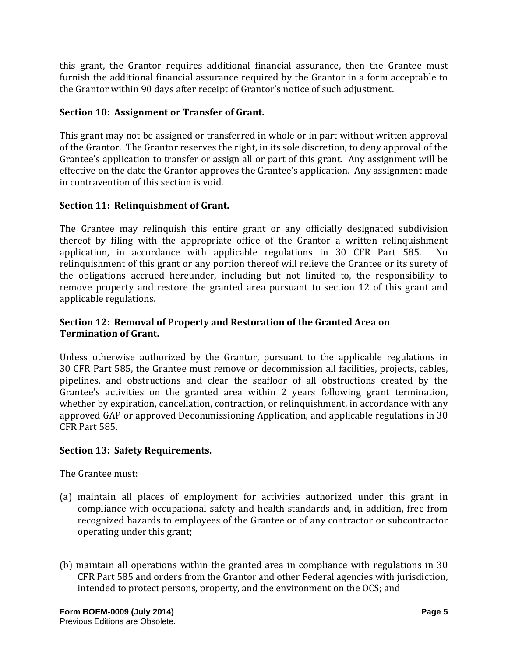this grant, the Grantor requires additional financial assurance, then the Grantee must furnish the additional financial assurance required by the Grantor in a form acceptable to the Grantor within 90 days after receipt of Grantor's notice of such adjustment.

# **Section 10: Assignment or Transfer of Grant.**

This grant may not be assigned or transferred in whole or in part without written approval of the Grantor. The Grantor reserves the right, in its sole discretion, to deny approval of the Grantee's application to transfer or assign all or part of this grant. Any assignment will be effective on the date the Grantor approves the Grantee's application. Any assignment made in contravention of this section is void.

# **Section 11: Relinquishment of Grant.**

The Grantee may relinquish this entire grant or any officially designated subdivision thereof by filing with the appropriate office of the Grantor a written relinquishment<br>application, in accordance with applicable regulations in 30 CFR Part 585. No application, in accordance with applicable regulations in 30 CFR Part 585. relinquishment of this grant or any portion thereof will relieve the Grantee or its surety of the obligations accrued hereunder, including but not limited to, the responsibility to remove property and restore the granted area pursuant to section 12 of this grant and applicable regulations.

# **Section 12: Removal of Property and Restoration of the Granted Area on Termination of Grant.**

Unless otherwise authorized by the Grantor, pursuant to the applicable regulations in 30 CFR Part 585, the Grantee must remove or decommission all facilities, projects, cables, pipelines, and obstructions and clear the seafloor of all obstructions created by the Grantee's activities on the granted area within 2 years following grant termination, whether by expiration, cancellation, contraction, or relinquishment, in accordance with any approved GAP or approved Decommissioning Application, and applicable regulations in 30 CFR Part 585.

## **Section 13: Safety Requirements.**

The Grantee must:

- (a) maintain all places of employment for activities authorized under this grant in compliance with occupational safety and health standards and, in addition, free from recognized hazards to employees of the Grantee or of any contractor or subcontractor operating under this grant;
- (b) maintain all operations within the granted area in compliance with regulations in 30 CFR Part 585 and orders from the Grantor and other Federal agencies with jurisdiction, intended to protect persons, property, and the environment on the OCS; and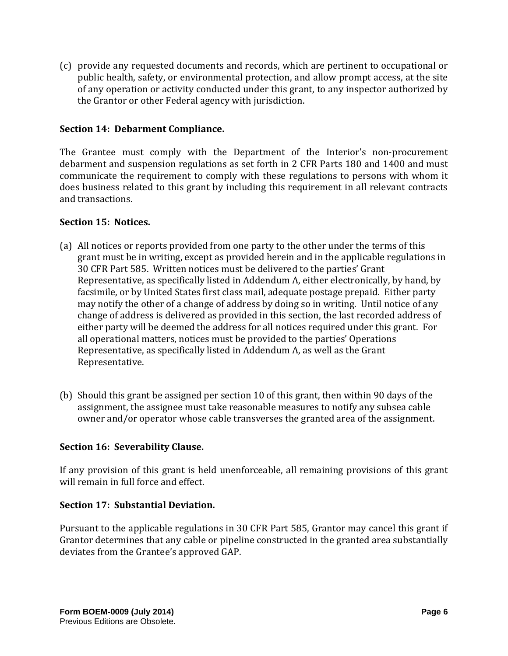(c) provide any requested documents and records, which are pertinent to occupational or public health, safety, or environmental protection, and allow prompt access, at the site of any operation or activity conducted under this grant, to any inspector authorized by the Grantor or other Federal agency with jurisdiction.

## **Section 14: Debarment Compliance.**

The Grantee must comply with the Department of the Interior's non-procurement debarment and suspension regulations as set forth in 2 CFR Parts 180 and 1400 and must communicate the requirement to comply with these regulations to persons with whom it does business related to this grant by including this requirement in all relevant contracts and transactions.

## **Section 15: Notices.**

- (a) All notices or reports provided from one party to the other under the terms of this grant must be in writing, except as provided herein and in the applicable regulations in 30 CFR Part 585. Written notices must be delivered to the parties' Grant Representative, as specifically listed in Addendum A, either electronically, by hand, by facsimile, or by United States first class mail, adequate postage prepaid. Either party may notify the other of a change of address by doing so in writing. Until notice of any change of address is delivered as provided in this section, the last recorded address of either party will be deemed the address for all notices required under this grant. For all operational matters, notices must be provided to the parties' Operations Representative, as specifically listed in Addendum A, as well as the Grant Representative.
- (b) Should this grant be assigned per section 10 of this grant, then within 90 days of the assignment, the assignee must take reasonable measures to notify any subsea cable owner and/or operator whose cable transverses the granted area of the assignment.

## **Section 16: Severability Clause.**

If any provision of this grant is held unenforceable, all remaining provisions of this grant will remain in full force and effect.

## **Section 17: Substantial Deviation.**

Pursuant to the applicable regulations in 30 CFR Part 585, Grantor may cancel this grant if Grantor determines that any cable or pipeline constructed in the granted area substantially deviates from the Grantee's approved GAP.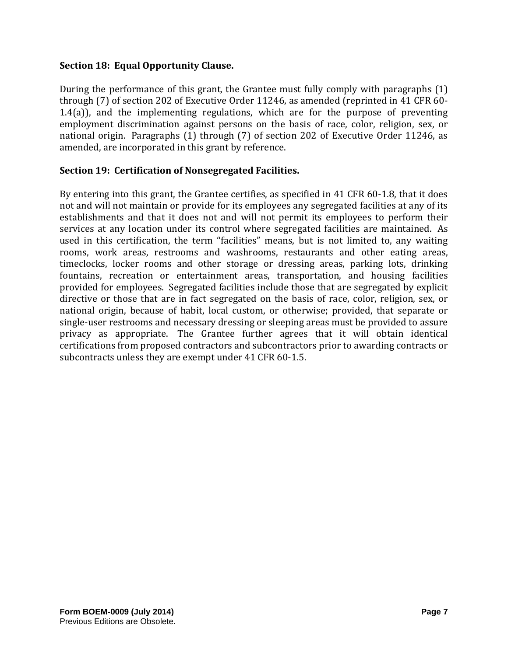## **Section 18: Equal Opportunity Clause.**

During the performance of this grant, the Grantee must fully comply with paragraphs (1) through (7) of section 202 of Executive Order 11246, as amended (reprinted in 41 CFR 60- 1.4(a)), and the implementing regulations, which are for the purpose of preventing employment discrimination against persons on the basis of race, color, religion, sex, or national origin. Paragraphs (1) through (7) of section 202 of Executive Order 11246, as amended, are incorporated in this grant by reference.

## **Section 19: Certification of Nonsegregated Facilities.**

By entering into this grant, the Grantee certifies, as specified in 41 CFR 60-1.8, that it does not and will not maintain or provide for its employees any segregated facilities at any of its establishments and that it does not and will not permit its employees to perform their services at any location under its control where segregated facilities are maintained. As used in this certification, the term "facilities" means, but is not limited to, any waiting rooms, work areas, restrooms and washrooms, restaurants and other eating areas, timeclocks, locker rooms and other storage or dressing areas, parking lots, drinking fountains, recreation or entertainment areas, transportation, and housing facilities provided for employees. Segregated facilities include those that are segregated by explicit directive or those that are in fact segregated on the basis of race, color, religion, sex, or national origin, because of habit, local custom, or otherwise; provided, that separate or single-user restrooms and necessary dressing or sleeping areas must be provided to assure privacy as appropriate. The Grantee further agrees that it will obtain identical certifications from proposed contractors and subcontractors prior to awarding contracts or subcontracts unless they are exempt under 41 CFR 60-1.5.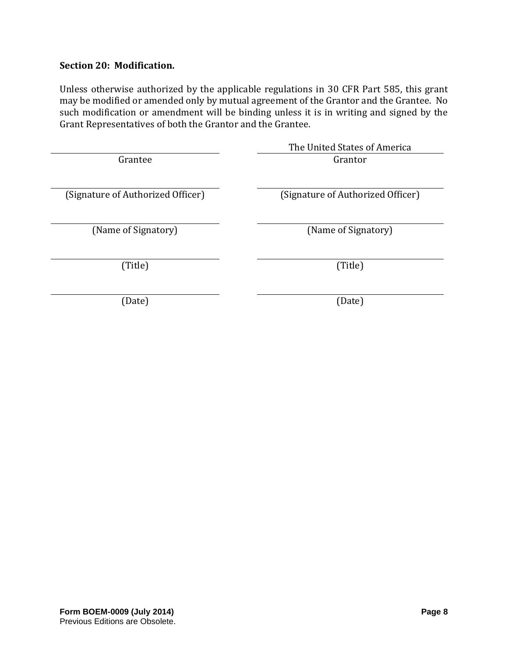## **Section 20: Modification.**

Unless otherwise authorized by the applicable regulations in 30 CFR Part 585, this grant may be modified or amended only by mutual agreement of the Grantor and the Grantee. No such modification or amendment will be binding unless it is in writing and signed by the Grant Representatives of both the Grantor and the Grantee.

|                                   | The United States of America      |
|-----------------------------------|-----------------------------------|
| Grantee                           | Grantor                           |
|                                   |                                   |
| (Signature of Authorized Officer) | (Signature of Authorized Officer) |
|                                   |                                   |
| (Name of Signatory)               | (Name of Signatory)               |
|                                   |                                   |
| (Title)                           | (Title)                           |
|                                   |                                   |
| (Date)                            | (Date)                            |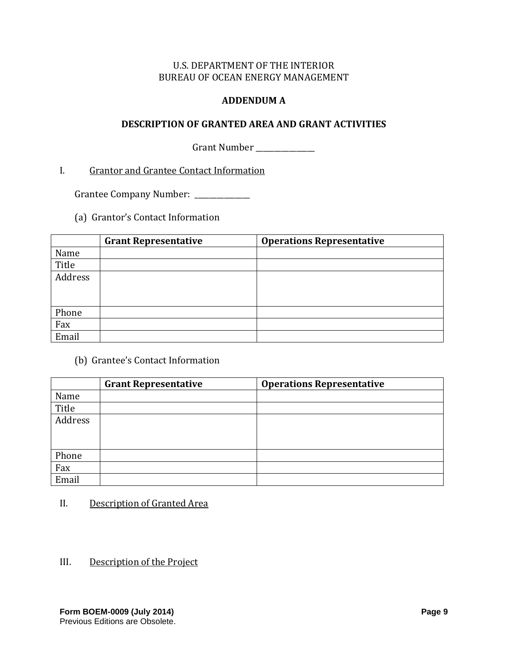## U.S. DEPARTMENT OF THE INTERIOR BUREAU OF OCEAN ENERGY MANAGEMENT

#### **ADDENDUM A**

#### **DESCRIPTION OF GRANTED AREA AND GRANT ACTIVITIES**

Grant Number \_\_\_\_\_\_\_\_\_\_\_\_\_\_

# I. Grantor and Grantee Contact Information

Grantee Company Number: \_\_\_\_\_\_\_\_\_\_\_\_

(a) Grantor's Contact Information

|         | <b>Grant Representative</b> | <b>Operations Representative</b> |
|---------|-----------------------------|----------------------------------|
| Name    |                             |                                  |
| Title   |                             |                                  |
| Address |                             |                                  |
|         |                             |                                  |
|         |                             |                                  |
| Phone   |                             |                                  |
| Fax     |                             |                                  |
| Email   |                             |                                  |

(b) Grantee's Contact Information

|         | <b>Grant Representative</b> | <b>Operations Representative</b> |
|---------|-----------------------------|----------------------------------|
| Name    |                             |                                  |
| Title   |                             |                                  |
| Address |                             |                                  |
|         |                             |                                  |
|         |                             |                                  |
| Phone   |                             |                                  |
| Fax     |                             |                                  |
| Email   |                             |                                  |

## II. Description of Granted Area

III. Description of the Project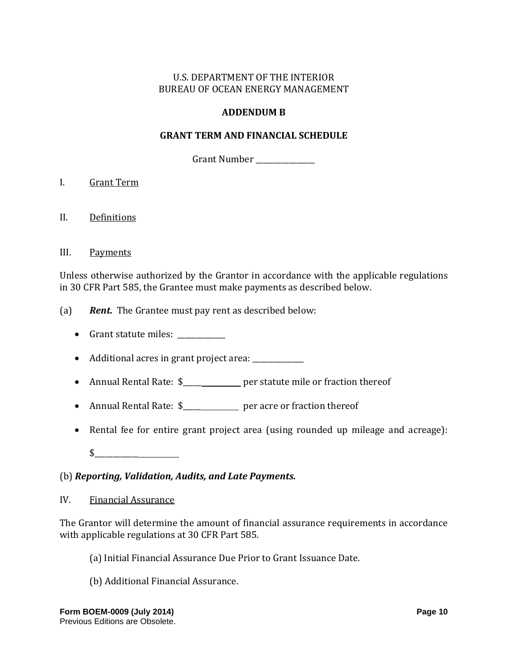# U.S. DEPARTMENT OF THE INTERIOR BUREAU OF OCEAN ENERGY MANAGEMENT

# **ADDENDUM B**

## **GRANT TERM AND FINANCIAL SCHEDULE**

Grant Number \_\_\_\_\_\_\_\_\_\_\_\_\_\_\_\_

- I. Grant Term
- II. Definitions
- III. Payments

Unless otherwise authorized by the Grantor in accordance with the applicable regulations in 30 CFR Part 585, the Grantee must make payments as described below.

- (a) *Rent.* The Grantee must pay rent as described below:
	- Grant statute miles:
	- Additional acres in grant project area: \_\_\_\_\_\_\_\_\_\_\_\_\_\_
	- Annual Rental Rate: \$\_\_\_\_\_\_\_\_\_\_\_\_ per statute mile or fraction thereof
	- Annual Rental Rate: \$\_\_\_\_\_\_\_\_\_\_\_ per acre or fraction thereof
	- Rental fee for entire grant project area (using rounded up mileage and acreage):

 $\frac{1}{2}$ 

## (b) *Reporting, Validation, Audits, and Late Payments.*

IV. Financial Assurance

The Grantor will determine the amount of financial assurance requirements in accordance with applicable regulations at 30 CFR Part 585.

- (a) Initial Financial Assurance Due Prior to Grant Issuance Date.
- (b) Additional Financial Assurance.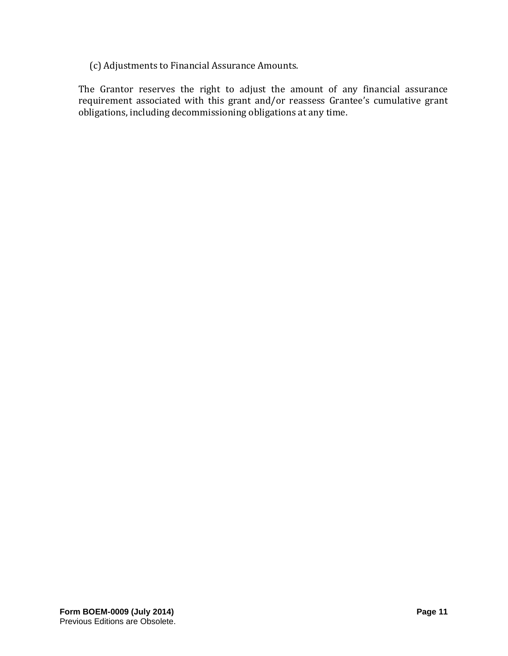(c) Adjustments to Financial Assurance Amounts.

The Grantor reserves the right to adjust the amount of any financial assurance requirement associated with this grant and/or reassess Grantee's cumulative grant obligations, including decommissioning obligations at any time.